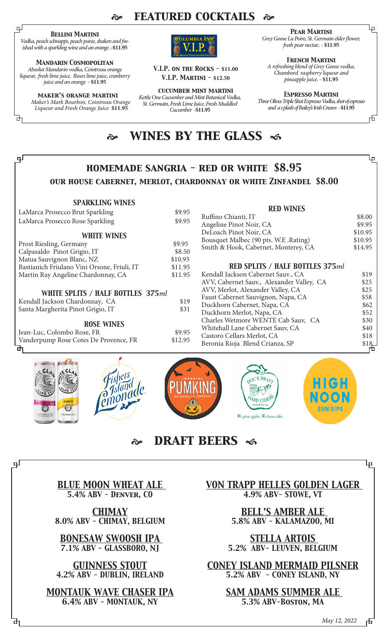## *featured cocktails*

### *Bellini Martini*

பு

டி

டி

*Vodka, peach schnapps, peach puree, shaken and finished with a sparkling wine and an orange .***-\$11.95**

### *Mandarin Cosmopolitan*

*Absolut Mandarin vodka, Cointreau orange liqueur, fresh lime juice, Roses lime juice, cranberry juice and an orange* **- \$11.95**

### *maker's orange martini*

*Maker's Mark Bourbon, Cointreau Orange Liqueur and Fresh Orange Juice* **\$11.95**



*V.I.P. on the Rocks -* **\$11.00** *V.I.P. Martini -* **\$12.50**

*cucumber mint martini Kettle One Cucumber and Mint Botanical Vodka, St. Germain, Fresh Lime Juice, Fresh Muddled Cucumber* **-\$11.95**

*Pear Martini*

⅊

币

*Grey Goose La Poire, St. Germain elder flower, fresh pear nectar.. -* **\$11.95**

*French Martini A refreshing blend of Grey Goose vodka, Chambord raspberry liqueur and pineapple juice. -* **\$11.95**

*Espresso Martini Three Olives Triple Shot Expresso Vodka, shot of espresso and a s plash of Bailey's Irish Cream -* **\$11.95**

## *wines by the glass*

#### Ŀρ *homemade sangria - red or white \$8.95 our house cabernet, merlot, chardonnay or white Zinfandel \$8.00 SPARKLING WINES RED WINES* LaMarca Prosecco Brut Sparkling \$9.95 Ruffino Chianti, IT<br>Angeline Pinot Noir, CA<br>\$9.95 LaMarca Prosecco Rose Sparkling \$9.95 Angeline Pinot Noir, CA \$9.95<br>DeLoach Pinot Noir, CA \$10.95 DeLoach Pinot Noir, CA *WHITE WINES* Bousquet Malbec (90 pts. W.E .Rating) \$10.95<br>Smith & Hook. Cabernet. Monterey. CA \$14.95 Prost Riesling, Germany 69.95<br>Calpasaldo Pinot Grigio, IT 68.50 Smith & Hook, Cabernet, Monterey, CA Calpasaldo Pinot Grigio, IT \$8.50<br>
Matua Sauvignon Blanc, NZ \$10.95 Matua Sauvignon Blanc, NZ \$10.95 *RED SPLITS / HALF BOTTLES 375ml* Bastianich Friulano Vini Orsone, Friuli, IT \$11.95<br>Martin Ray Angeline Chardonnay, CA \$11.95 Martin Ray Angeline Chardonnay, CA Kendall Jackson Cabernet Sauv., CA  $$19$ <br>AVV. Cabernet Sauv., Alexander Valley, CA  $$25$ AVV, Cabernet Sauv., Alexander Valley, CA  $$25$ <br>AVV, Merlot, Alexander Valley, CA  $$25$ AVV, Merlot, Alexander Valley, CA  $$25$ <br>Eaust Cabernet Sauvignon, Napa, CA  $$58$ *WHITE SPLITS / HALF BOTTLES 375ml* Faust Cabernet Sauvignon, Napa, CA  $$58$ <br>Duckhorn Cabernet, Napa, CA  $$62$ Kendall Jackson Chardonnay, CA  $$19$ <br>Santa Margherita Pinot Grigio. IT  $$31$ Duckhorn Cabernet, Napa, CA Santa Margherita Pinot Grigio, IT \$31 Duckhorn Merlot, Napa, CA  $$52$ <br>Charles Wetmore WENTE Cab Sauv, CA  $$30$ Charles Wetmore WENTE Cab Sauv, CA  $$30$ <br>Whitehall Lane Cabernet Sauv, CA  $$40$ *ROSE WINES* Whitehall Lane Cabernet Sauv, CA  $$40$ <br>Castoro Cellars Merlot. CA  $$18$ Jean-Luc, Colombo Rose, FR \$9.95 Castoro Cellars Merlot, CA  $$18$ <br>Beronia Rioja Blend Crianza, SP  $$18$ Vanderpump Rose Cotes De Provence, FR Beronia Rioja Blend Crianza, SP  $$18 \rightarrow $18$







**STIN SIDS** 

## *draft beers*

*BLUE MOON WHEAT ALE 5.4% ABV - Denver, CO*

*CHIMAY 8.0% ABV - CHIMAY, BELGIUM*

*BONESAW SWOOSH IPA 7.1% ABV - GLASSBORO, NJ*

*GUINNESS STOUT 4.2% ABV - DUBLIN, IRELAND*

*MONTAUK WAVE CHASER IPA 6.4% ABV - MONTAUK, NY*

*VON TRAPP HELLES GOLDEN LAGER 4.9% ABV- STOWE, VT* 

 $\Omega$ C'S DR<sub>AF</sub> A **ARD CIDE** 

w apples. We know cider.

*BELL'S AMBER ALE 5.8% ABV - KALAMAZOO, MI*

*STELLA ARTOIS 5.2% ABV- LEUVEN, BELGIUM*

*CONEY ISLAND MERMAID PILSNER 5.2% ABV - CONEY ISLAND, NY* 

> *SAM ADAMS SUMMER ALE 5.3% ABV-Boston, MA*

> > *May 12, 2022*市

ΨĿ